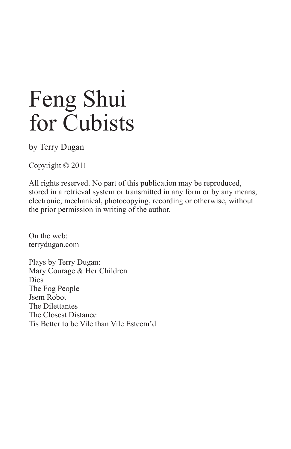by Terry Dugan

Copyright © 2011

All rights reserved. No part of this publication may be reproduced, stored in a retrieval system or transmitted in any form or by any means, electronic, mechanical, photocopying, recording or otherwise, without the prior permission in writing of the author.

On the web: terrydugan.com

Plays by Terry Dugan: Mary Courage & Her Children Dies The Fog People Jsem Robot The Dilettantes The Closest Distance Tis Better to be Vile than Vile Esteem'd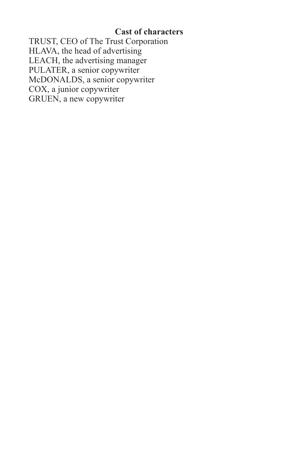# **Cast of characters**

TRUST, CEO of The Trust Corporation HLAVA, the head of advertising LEACH, the advertising manager PULATER, a senior copywriter McDONALDS, a senior copywriter COX, a junior copywriter GRUEN, a new copywriter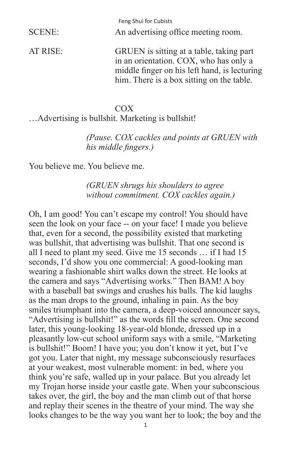| SCENE:   | An advertising office meeting room.                                                                                                                                             |
|----------|---------------------------------------------------------------------------------------------------------------------------------------------------------------------------------|
| AT RISE: | GRUEN is sitting at a table, taking part<br>in an orientation. COX, who has only a<br>middle finger on his left hand, is lecturing<br>him. There is a box sitting on the table. |

#### COX

…Advertising is bullshit. Marketing is bullshit!

 *(Pause. COX cackles and points at GRUEN with his middle fingers.)*

You believe me. You believe me.

 *(GRUEN shrugs his shoulders to agree without commitment. COX cackles again.)*

Oh, I am good! You can't escape my control! You should have seen the look on your face -- on your face! I made you believe that, even for a second, the possibility existed that marketing was bullshit, that advertising was bullshit. That one second is all I need to plant my seed. Give me 15 seconds … if I had 15 seconds, I'd show you one commercial: A good-looking man wearing a fashionable shirt walks down the street. He looks at the camera and says "Advertising works." Then BAM! A boy with a baseball bat swings and crushes his balls. The kid laughs as the man drops to the ground, inhaling in pain. As the boy smiles triumphant into the camera, a deep-voiced announcer says, "Advertising is bullshit!" as the words fill the screen. One second later, this young-looking 18-year-old blonde, dressed up in a pleasantly low-cut school uniform says with a smile, "Marketing is bullshit!" Boom! I have you; you don't know it yet, but I've got you. Later that night, my message subconsciously resurfaces at your weakest, most vulnerable moment: in bed, where you think you're safe, walled up in your palace. But you already let my Trojan horse inside your castle gate. When your subconscious takes over, the girl, the boy and the man climb out of that horse and replay their scenes in the theatre of your mind. The way she looks changes to be the way you want her to look; the boy and the

1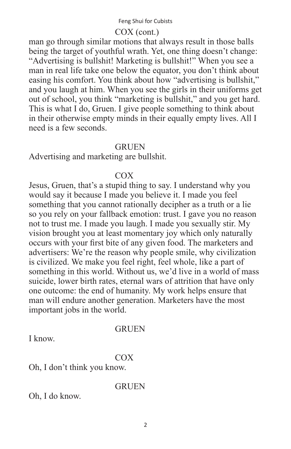## COX (cont.)

man go through similar motions that always result in those balls being the target of youthful wrath. Yet, one thing doesn't change: "Advertising is bullshit! Marketing is bullshit!" When you see a man in real life take one below the equator, you don't think about easing his comfort. You think about how "advertising is bullshit," and you laugh at him. When you see the girls in their uniforms get out of school, you think "marketing is bullshit," and you get hard. This is what I do, Gruen. I give people something to think about in their otherwise empty minds in their equally empty lives. All I need is a few seconds.

#### **GRUEN**

Advertising and marketing are bullshit.

#### COX

Jesus, Gruen, that's a stupid thing to say. I understand why you would say it because I made you believe it. I made you feel something that you cannot rationally decipher as a truth or a lie so you rely on your fallback emotion: trust. I gave you no reason not to trust me. I made you laugh. I made you sexually stir. My vision brought you at least momentary joy which only naturally occurs with your first bite of any given food. The marketers and advertisers: We're the reason why people smile, why civilization is civilized. We make you feel right, feel whole, like a part of something in this world. Without us, we'd live in a world of mass suicide, lower birth rates, eternal wars of attrition that have only one outcome: the end of humanity. My work helps ensure that man will endure another generation. Marketers have the most important jobs in the world.

#### **GRUEN**

I know.

## COX

Oh, I don't think you know.

GRUEN

Oh, I do know.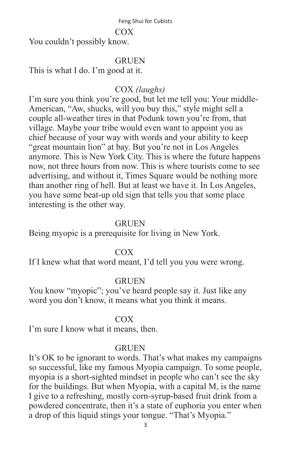#### COX

You couldn't possibly know.

## **GRUEN**

This is what I do. I'm good at it.

# COX *(laughs)*

I'm sure you think you're good, but let me tell you: Your middle-American, "Aw, shucks, will you buy this," style might sell a couple all-weather tires in that Podunk town you're from, that village. Maybe your tribe would even want to appoint you as chief because of your way with words and your ability to keep "great mountain lion" at bay. But you're not in Los Angeles anymore. This is New York City. This is where the future happens now, not three hours from now. This is where tourists come to see advertising, and without it, Times Square would be nothing more than another ring of hell. But at least we have it. In Los Angeles, you have some beat-up old sign that tells you that some place interesting is the other way.

#### GRUEN

Being myopic is a prerequisite for living in New York.

#### COX

If I knew what that word meant, I'd tell you you were wrong.

## **GRUEN**

You know "myopic"; you've heard people say it. Just like any word you don't know, it means what you think it means.

## COX

I'm sure I know what it means, then.

#### **GRUEN**

It's OK to be ignorant to words. That's what makes my campaigns so successful, like my famous Myopia campaign. To some people, myopia is a short-sighted mindset in people who can't see the sky for the buildings. But when Myopia, with a capital M, is the name I give to a refreshing, mostly corn-syrup-based fruit drink from a powdered concentrate, then it's a state of euphoria you enter when a drop of this liquid stings your tongue. "That's Myopia."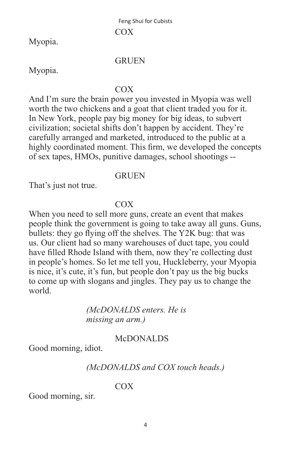Myopia.

#### GRUEN

Myopia.

#### COX

And I'm sure the brain power you invested in Myopia was well worth the two chickens and a goat that client traded you for it. In New York, people pay big money for big ideas, to subvert civilization; societal shifts don't happen by accident. They're carefully arranged and marketed, introduced to the public at a highly coordinated moment. This firm, we developed the concepts of sex tapes, HMOs, punitive damages, school shootings --

#### GRUEN

That's just not true.

#### COX

When you need to sell more guns, create an event that makes people think the government is going to take away all guns. Guns, bullets: they go flying off the shelves. The Y2K bug: that was us. Our client had so many warehouses of duct tape, you could have filled Rhode Island with them, now they're collecting dust in people's homes. So let me tell you, Huckleberry, your Myopia is nice, it's cute, it's fun, but people don't pay us the big bucks to come up with slogans and jingles. They pay us to change the world.

> *(McDONALDS enters. He is missing an arm.)*

#### McDONALDS

Good morning, idiot.

## *(McDONALDS and COX touch heads.)*

## COX

Good morning, sir.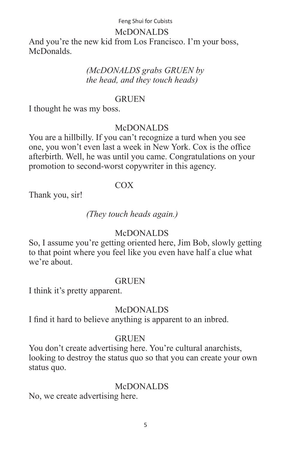#### McDONALDS

And you're the new kid from Los Francisco. I'm your boss, McDonalds.

## *(McDONALDS grabs GRUEN by the head, and they touch heads)*

## **GRUEN**

I thought he was my boss.

## McDONALDS

You are a hillbilly. If you can't recognize a turd when you see one, you won't even last a week in New York. Cox is the office afterbirth. Well, he was until you came. Congratulations on your promotion to second-worst copywriter in this agency.

## COX

Thank you, sir!

## *(They touch heads again.)*

## McDONALDS

So, I assume you're getting oriented here, Jim Bob, slowly getting to that point where you feel like you even have half a clue what we're about.

## **GRUEN**

I think it's pretty apparent.

## McDONALDS

I find it hard to believe anything is apparent to an inbred.

## **GRUEN**

You don't create advertising here. You're cultural anarchists, looking to destroy the status quo so that you can create your own status quo.

# McDONALDS

No, we create advertising here.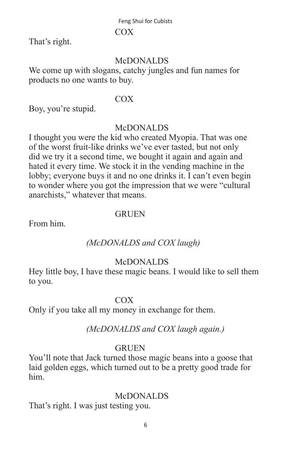#### COX

That's right.

# **McDONALDS**

We come up with slogans, catchy jungles and fun names for products no one wants to buy.

#### COX

Boy, you're stupid.

## McDONALDS

I thought you were the kid who created Myopia. That was one of the worst fruit-like drinks we've ever tasted, but not only did we try it a second time, we bought it again and again and hated it every time. We stock it in the vending machine in the lobby; everyone buys it and no one drinks it. I can't even begin to wonder where you got the impression that we were "cultural anarchists," whatever that means.

## **GRUEN**

From him.

# *(McDONALDS and COX laugh)*

# McDONALDS

Hey little boy, I have these magic beans. I would like to sell them to you.

## COX

Only if you take all my money in exchange for them.

## *(McDONALDS and COX laugh again.)*

## **GRUEN**

You'll note that Jack turned those magic beans into a goose that laid golden eggs, which turned out to be a pretty good trade for him.

## McDONALDS

That's right. I was just testing you.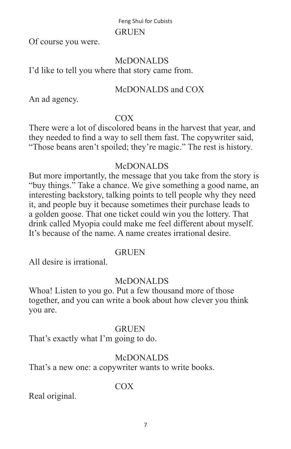#### GRUEN

Of course you were.

## **McDONALDS**

I'd like to tell you where that story came from.

## McDONALDS and COX

An ad agency.

## COX

There were a lot of discolored beans in the harvest that year, and they needed to find a way to sell them fast. The copywriter said, "Those beans aren't spoiled; they're magic." The rest is history.

# McDONALDS

But more importantly, the message that you take from the story is "buy things." Take a chance. We give something a good name, an interesting backstory, talking points to tell people why they need it, and people buy it because sometimes their purchase leads to a golden goose. That one ticket could win you the lottery. That drink called Myopia could make me feel different about myself. It's because of the name. A name creates irrational desire.

## **GRUEN**

All desire is irrational.

## McDONALDS

Whoa! Listen to you go. Put a few thousand more of those together, and you can write a book about how clever you think you are.

## **GRUEN**

That's exactly what I'm going to do.

# McDONALDS

That's a new one: a copywriter wants to write books.

# COX

Real original.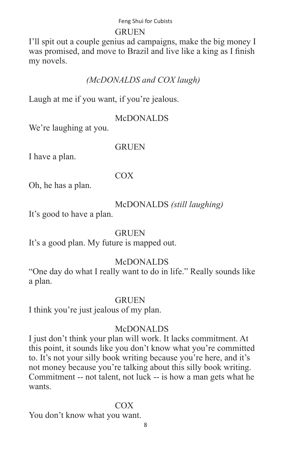#### GRUEN

I'll spit out a couple genius ad campaigns, make the big money I was promised, and move to Brazil and live like a king as I finish my novels.

# *(McDONALDS and COX laugh)*

Laugh at me if you want, if you're jealous.

## McDONALDS

We're laughing at you.

## GRUEN

I have a plan.

## COX

Oh, he has a plan.

## McDONALDS *(still laughing)*

It's good to have a plan.

## **GRUEN**

It's a good plan. My future is mapped out.

# McDONALDS

"One day do what I really want to do in life." Really sounds like a plan.

## **GRUEN**

I think you're just jealous of my plan.

## McDONALDS

I just don't think your plan will work. It lacks commitment. At this point, it sounds like you don't know what you're committed to. It's not your silly book writing because you're here, and it's not money because you're talking about this silly book writing. Commitment -- not talent, not luck -- is how a man gets what he wants.

## COX

You don't know what you want.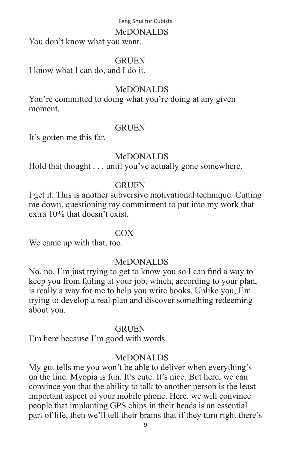#### McDONALDS

You don't know what you want.

#### **GRUEN**

I know what I can do, and I do it.

## McDONALDS

You're committed to doing what you're doing at any given moment.

#### **GRUEN**

It's gotten me this far.

## **McDONALDS**

Hold that thought . . . until you've actually gone somewhere.

## **GRUEN**

I get it. This is another subversive motivational technique. Cutting me down, questioning my commitment to put into my work that extra 10% that doesn't exist.

## COX

We came up with that, too.

## McDONALDS

No, no. I'm just trying to get to know you so I can find a way to keep you from failing at your job, which, according to your plan, is really a way for me to help you write books. Unlike you,  $\Gamma$ m trying to develop a real plan and discover something redeeming about you.

#### **GRUEN**

I'm here because I'm good with words.

## McDONALDS

My gut tells me you won't be able to deliver when everything's on the line. Myopia is fun. It's cute. It's nice. But here, we can convince you that the ability to talk to another person is the least important aspect of your mobile phone. Here, we will convince people that implanting GPS chips in their heads is an essential part of life, then we'll tell their brains that if they turn right there's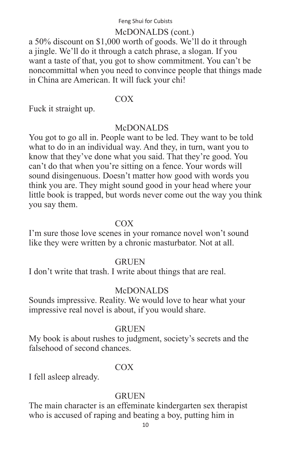#### McDONALDS (cont.)

a 50% discount on \$1,000 worth of goods. We'll do it through a jingle. We'll do it through a catch phrase, a slogan. If you want a taste of that, you got to show commitment. You can't be noncommittal when you need to convince people that things made in China are American. It will fuck your chi!

#### COX

Fuck it straight up.

#### McDONALDS

You got to go all in. People want to be led. They want to be told what to do in an individual way. And they, in turn, want you to know that they've done what you said. That they're good. You can't do that when you're sitting on a fence. Your words will sound disingenuous. Doesn't matter how good with words you think you are. They might sound good in your head where your little book is trapped, but words never come out the way you think you say them.

#### **COX**

I'm sure those love scenes in your romance novel won't sound like they were written by a chronic masturbator. Not at all.

#### **GRUEN**

I don't write that trash. I write about things that are real.

## McDONALDS

Sounds impressive. Reality. We would love to hear what your impressive real novel is about, if you would share.

#### **GRUEN**

My book is about rushes to judgment, society's secrets and the falsehood of second chances.

## COX

I fell asleep already.

## **GRUEN**

The main character is an effeminate kindergarten sex therapist who is accused of raping and beating a boy, putting him in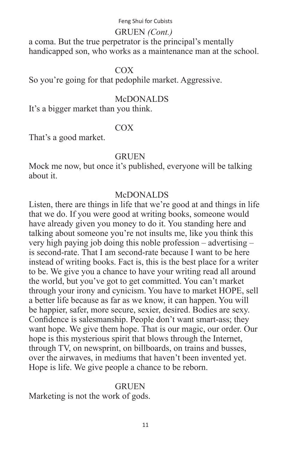## GRUEN *(Cont.)*

a coma. But the true perpetrator is the principal's mentally handicapped son, who works as a maintenance man at the school.

#### COX

So you're going for that pedophile market. Aggressive.

## McDONALDS

It's a bigger market than you think.

## COX

That's a good market.

#### **GRUEN**

Mock me now, but once it's published, everyone will be talking about it.

#### McDONALDS

Listen, there are things in life that we're good at and things in life that we do. If you were good at writing books, someone would have already given you money to do it. You standing here and talking about someone you're not insults me, like you think this very high paying job doing this noble profession – advertising – is second-rate. That I am second-rate because I want to be here instead of writing books. Fact is, this is the best place for a writer to be. We give you a chance to have your writing read all around the world, but you've got to get committed. You can't market through your irony and cynicism. You have to market HOPE, sell a better life because as far as we know, it can happen. You will be happier, safer, more secure, sexier, desired. Bodies are sexy. Confidence is salesmanship. People don't want smart-ass; they want hope. We give them hope. That is our magic, our order. Our hope is this mysterious spirit that blows through the Internet, through TV, on newsprint, on billboards, on trains and busses, over the airwaves, in mediums that haven't been invented yet. Hope is life. We give people a chance to be reborn.

## **GRUEN**

Marketing is not the work of gods.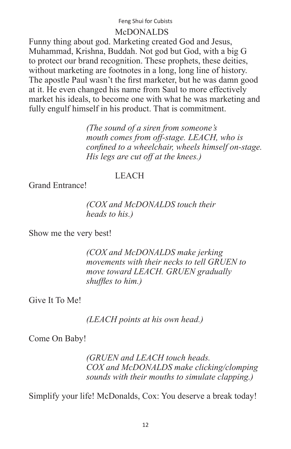#### McDONALDS

Funny thing about god. Marketing created God and Jesus, Muhammad, Krishna, Buddah. Not god but God, with a big G to protect our brand recognition. These prophets, these deities, without marketing are footnotes in a long, long line of history. The apostle Paul wasn't the first marketer, but he was damn good at it. He even changed his name from Saul to more effectively market his ideals, to become one with what he was marketing and fully engulf himself in his product. That is commitment.

> *(The sound of a siren from someone's mouth comes from off-stage. LEACH, who is confined to a wheelchair, wheels himself on-stage. His legs are cut off at the knees.)*

#### LEACH

Grand Entrance!

#### *(COX and McDONALDS touch their heads to his.)*

Show me the very best!

 *(COX and McDONALDS make jerking movements with their necks to tell GRUEN to move toward LEACH. GRUEN gradually shuffles to him.)*

Give It To Me!

 *(LEACH points at his own head.)*

Come On Baby!

 *(GRUEN and LEACH touch heads. COX and McDONALDS make clicking/clomping sounds with their mouths to simulate clapping.)*

Simplify your life! McDonalds, Cox: You deserve a break today!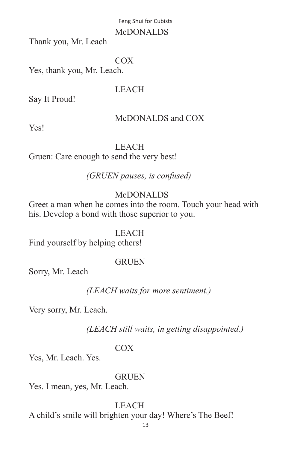#### McDONALDS

Thank you, Mr. Leach

#### COX

Yes, thank you, Mr. Leach.

# LEACH

Say It Proud!

# McDONALDS and COX

Yes!

# LEACH

Gruen: Care enough to send the very best!

## *(GRUEN pauses, is confused)*

# McDONALDS

Greet a man when he comes into the room. Touch your head with his. Develop a bond with those superior to you.

## LEACH

Find yourself by helping others!

## **GRUEN**

Sorry, Mr. Leach

## *(LEACH waits for more sentiment.)*

Very sorry, Mr. Leach.

## *(LEACH still waits, in getting disappointed.)*

## COX

Yes, Mr. Leach. Yes.

## **GRUEN**

Yes. I mean, yes, Mr. Leach.

## LEACH

A child's smile will brighten your day! Where's The Beef!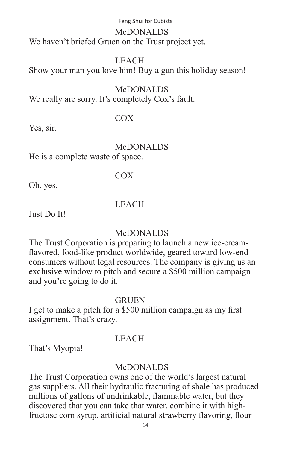#### McDONALDS We haven't briefed Gruen on the Trust project yet.

## LEACH

Show your man you love him! Buy a gun this holiday season!

#### McDONALDS

We really are sorry. It's completely Cox's fault.

## COX

Yes, sir.

# McDONALDS

He is a complete waste of space.

## COX

Oh, yes.

## LEACH

Just Do It!

## McDONALDS

The Trust Corporation is preparing to launch a new ice-creamflavored, food-like product worldwide, geared toward low-end consumers without legal resources. The company is giving us an exclusive window to pitch and secure a \$500 million campaign – and you're going to do it.

## **GRUEN**

I get to make a pitch for a \$500 million campaign as my first assignment. That's crazy.

## LEACH

That's Myopia!

## McDONALDS

The Trust Corporation owns one of the world's largest natural gas suppliers. All their hydraulic fracturing of shale has produced millions of gallons of undrinkable, flammable water, but they discovered that you can take that water, combine it with highfructose corn syrup, artificial natural strawberry flavoring, flour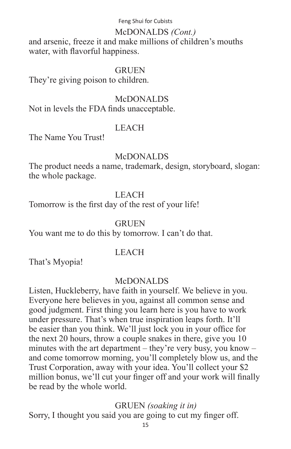#### McDONALDS *(Cont.)*

and arsenic, freeze it and make millions of children's mouths water, with flavorful happiness.

#### **GRUEN**

They're giving poison to children.

#### McDONALDS

Not in levels the FDA finds unacceptable.

#### LEACH

The Name You Trust!

#### **McDONALDS**

The product needs a name, trademark, design, storyboard, slogan: the whole package.

#### LEACH

Tomorrow is the first day of the rest of your life!

#### **GRUEN**

You want me to do this by tomorrow. I can't do that.

#### LEACH

That's Myopia!

#### McDONALDS

Listen, Huckleberry, have faith in yourself. We believe in you. Everyone here believes in you, against all common sense and good judgment. First thing you learn here is you have to work under pressure. That's when true inspiration leaps forth. It'll be easier than you think. We'll just lock you in your office for the next 20 hours, throw a couple snakes in there, give you 10 minutes with the art department – they're very busy, you know – and come tomorrow morning, you'll completely blow us, and the Trust Corporation, away with your idea. You'll collect your \$2 million bonus, we'll cut your finger off and your work will finally be read by the whole world.

## GRUEN *(soaking it in)*

Sorry, I thought you said you are going to cut my finger off.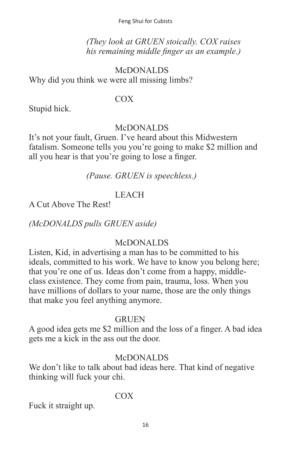*(They look at GRUEN stoically. COX raises his remaining middle finger as an example.)*

# McDONALDS Why did you think we were all missing limbs?

## COX

Stupid hick.

## McDONALDS

It's not your fault, Gruen. I've heard about this Midwestern fatalism. Someone tells you you're going to make \$2 million and all you hear is that you're going to lose a finger.

 *(Pause. GRUEN is speechless.)*

# LEACH

A Cut Above The Rest!

*(McDONALDS pulls GRUEN aside)*

# McDONALDS

Listen, Kid, in advertising a man has to be committed to his ideals, committed to his work. We have to know you belong here; that you're one of us. Ideas don't come from a happy, middleclass existence. They come from pain, trauma, loss. When you have millions of dollars to your name, those are the only things that make you feel anything anymore.

## **GRUEN**

A good idea gets me \$2 million and the loss of a finger. A bad idea gets me a kick in the ass out the door.

## McDONALDS

We don't like to talk about bad ideas here. That kind of negative thinking will fuck your chi.

# COX

Fuck it straight up.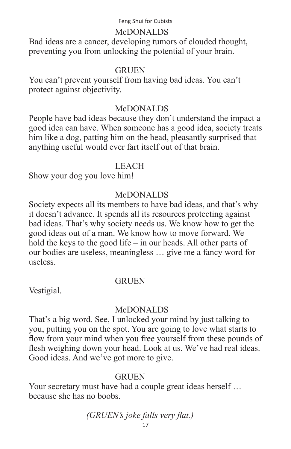#### McDONALDS

Bad ideas are a cancer, developing tumors of clouded thought, preventing you from unlocking the potential of your brain.

#### **GRUEN**

You can't prevent yourself from having bad ideas. You can't protect against objectivity.

#### McDONALDS

People have bad ideas because they don't understand the impact a good idea can have. When someone has a good idea, society treats him like a dog, patting him on the head, pleasantly surprised that anything useful would ever fart itself out of that brain.

#### LEACH

Show your dog you love him!

## McDONALDS

Society expects all its members to have bad ideas, and that's why it doesn't advance. It spends all its resources protecting against bad ideas. That's why society needs us. We know how to get the good ideas out of a man. We know how to move forward. We hold the keys to the good life – in our heads. All other parts of our bodies are useless, meaningless … give me a fancy word for useless.

#### **GRUEN**

Vestigial.

#### McDONALDS

That's a big word. See, I unlocked your mind by just talking to you, putting you on the spot. You are going to love what starts to flow from your mind when you free yourself from these pounds of flesh weighing down your head. Look at us. We've had real ideas. Good ideas. And we've got more to give.

#### **GRUEN**

Your secretary must have had a couple great ideas herself … because she has no boobs.

*(GRUEN's joke falls very flat.)*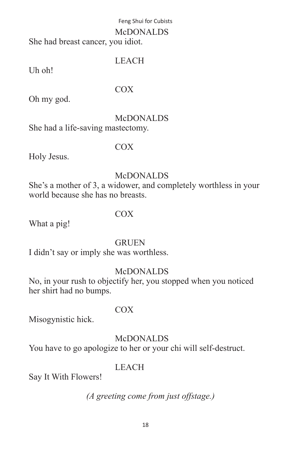#### McDONALDS

She had breast cancer, you idiot.

# LEACH

Uh oh!

## COX

Oh my god.

# McDONALDS

She had a life-saving mastectomy.

# COX

Holy Jesus.

# McDONALDS

She's a mother of 3, a widower, and completely worthless in your world because she has no breasts.

# COX

What a pig!

# GRUEN

I didn't say or imply she was worthless.

# McDONALDS

No, in your rush to objectify her, you stopped when you noticed her shirt had no bumps.

## COX

Misogynistic hick.

# McDONALDS

You have to go apologize to her or your chi will self-destruct.

# LEACH

Say It With Flowers!

*(A greeting come from just offstage.)*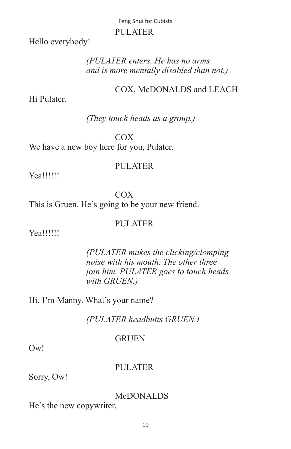#### Feng Shui for Cubists PULATER

Hello everybody!

## *(PULATER enters. He has no arms and is more mentally disabled than not.)*

# COX, McDONALDS and LEACH

Hi Pulater.

## *(They touch heads as a group.)*

 COX We have a new boy here for you, Pulater.

## PULATER

Yea!!!!!!

 COX This is Gruen. He's going to be your new friend.

#### PULATER

Yea!!!!!!

 *(PULATER makes the clicking/clomping noise with his mouth. The other three join him. PULATER goes to touch heads*  $with$  *GRUEN.*)

Hi, I'm Manny. What's your name?

*(PULATER headbutts GRUEN.)*

## GRUEN

Ow!

## PULATER

Sorry, Ow!

## McDONALDS

He's the new copywriter.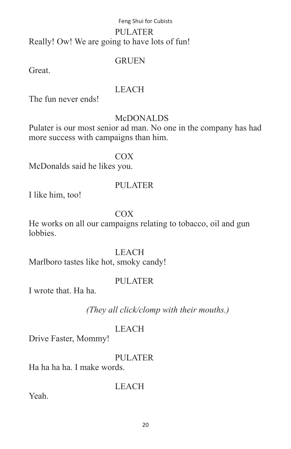# Feng Shui for Cubists PULATER Really! Ow! We are going to have lots of fun!

#### GRUEN

**Great** 

#### LEACH

The fun never ends!

# **McDONALDS**

Pulater is our most senior ad man. No one in the company has had more success with campaigns than him.

# COX

McDonalds said he likes you.

# PULATER

I like him, too!

# COX

He works on all our campaigns relating to tobacco, oil and gun **lobbies** 

## LEACH

Marlboro tastes like hot, smoky candy!

# PULATER

I wrote that. Ha ha.

*(They all click/clomp with their mouths.)*

## LEACH

Drive Faster, Mommy!

PULATER

LEACH

Ha ha ha ha. I make words.

Yeah.

20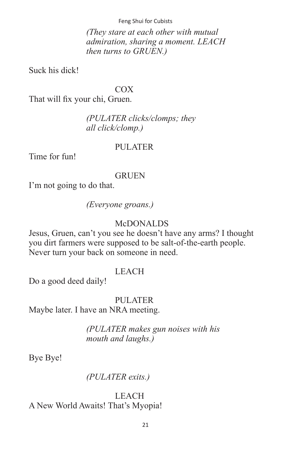*(They stare at each other with mutual admiration, sharing a moment. LEACH then turns to GRUEN.)*

Suck his dick!

#### COX

That will fix your chi, Gruen.

## *(PULATER clicks/clomps; they all click/clomp.)*

#### PULATER

Time for fun!

#### **GRUEN**

I'm not going to do that.

 *(Everyone groans.)*

#### McDONALDS

Jesus, Gruen, can't you see he doesn't have any arms? I thought you dirt farmers were supposed to be salt-of-the-earth people. Never turn your back on someone in need.

#### LEACH

Do a good deed daily!

#### PULATER

Maybe later. I have an NRA meeting.

 *(PULATER makes gun noises with his*  $m$  *mouth* and *laughs.*)

Bye Bye!

## *(PULATER exits.)*

 LEACH A New World Awaits! That's Myopia!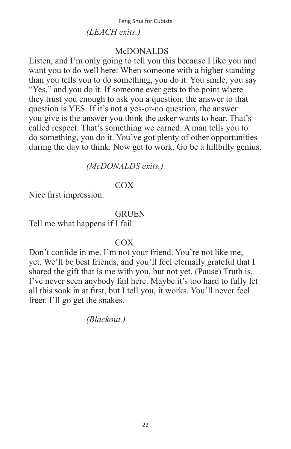# McDONALDS

Listen, and I'm only going to tell you this because I like you and want you to do well here: When someone with a higher standing than you tells you to do something, you do it. You smile, you say "Yes," and you do it. If someone ever gets to the point where they trust you enough to ask you a question, the answer to that question is YES. If it's not a yes-or-no question, the answer you give is the answer you think the asker wants to hear. That's called respect. That's something we earned. A man tells you to do something, you do it. You've got plenty of other opportunities during the day to think. Now get to work. Go be a hillbilly genius.

# *(McDONALDS exits.)*

# **COX**

Nice first impression.

## **GRUEN**

Tell me what happens if I fail.

# **COX**

Don't confide in me. I'm not your friend. You're not like me, yet. We'll be best friends, and you'll feel eternally grateful that I shared the gift that is me with you, but not yet. (Pause) Truth is, I've never seen anybody fail here. Maybe it's too hard to fully let all this soak in at first, but I tell you, it works. You'll never feel freer. I'll go get the snakes.

*(Blackout.)*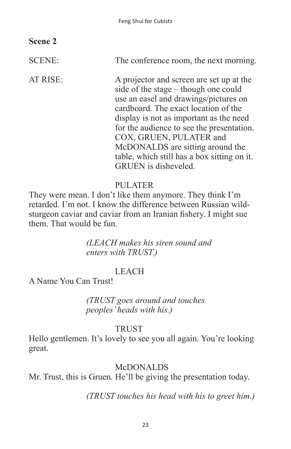# **Scene 2**

SCENE: The conference room, the next morning.

AT RISE: A projector and screen are set up at the side of the stage – though one could use an easel and drawings/pictures on cardboard. The exact location of the display is not as important as the need for the audience to see the presentation. COX, GRUEN, PULATER and McDONALDS are sitting around the table, which still has a box sitting on it. GRUEN is disheveled.

# PULATER

They were mean. I don't like them anymore. They think I'm retarded. I'm not. I know the difference between Russian wildsturgeon caviar and caviar from an Iranian fishery. I might sue them. That would be fun.

> *(LEACH makes his siren sound and enters with TRUST.)*

# LEACH

A Name You Can Trust!

 *(TRUST goes around and touches peoples' heads with his.)*

## TRUST

Hello gentlemen. It's lovely to see you all again. You're looking great.

## McDONALDS

Mr. Trust, this is Gruen. He'll be giving the presentation today.

 *(TRUST touches his head with his to greet him.)*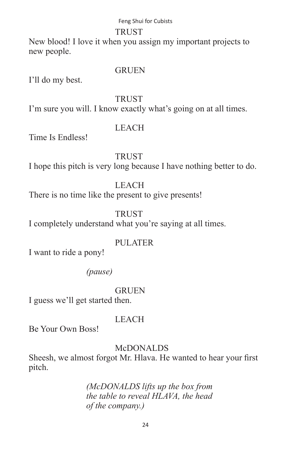#### **TRUST**

New blood! I love it when you assign my important projects to new people.

#### **GRUEN**

I'll do my best.

#### TRUST

I'm sure you will. I know exactly what's going on at all times.

## LEACH

Time Is Endless!

## **TRUST**

I hope this pitch is very long because I have nothing better to do.

## LEACH

There is no time like the present to give presents!

## **TRUST**

I completely understand what you're saying at all times.

## PULATER

I want to ride a pony!

 *(pause)*

## **GRUEN**

I guess we'll get started then.

## LEACH

Be Your Own Boss!

## **McDONALDS**

Sheesh, we almost forgot Mr. Hlava. He wanted to hear your first pitch.

## *(McDONALDS lifts up the box from the table to reveal HLAVA, the head of the company.)*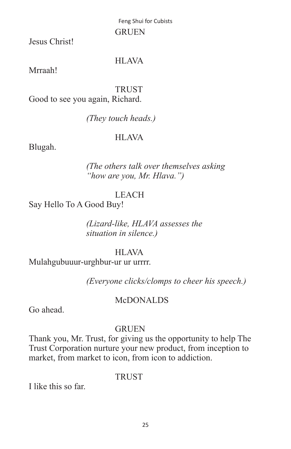Feng Shui for Cubists GRUEN

Jesus Christ!

## HLAVA

Mrraah!

TRUST

Good to see you again, Richard.

 *(They touch heads.)*

## HLAVA

Blugah.

 *(The others talk over themselves asking "how are you, Mr. Hlava.")*

# LEACH

Say Hello To A Good Buy!

 *(Lizard-like, HLAVA assesses the situation in silence.)*

## HLAVA

Mulahgubuuur-urghbur-ur ur urrrr.

 *(Everyone clicks/clomps to cheer his speech.)*

## McDONALDS

Go ahead.

## **GRUEN**

Thank you, Mr. Trust, for giving us the opportunity to help The Trust Corporation nurture your new product, from inception to market, from market to icon, from icon to addiction.

## TRUST

I like this so far.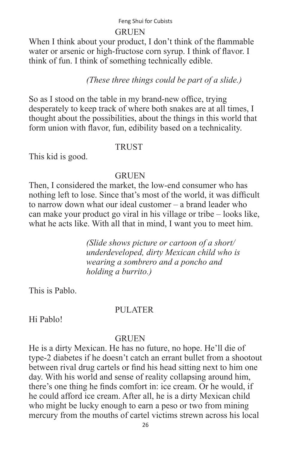#### **GRUEN**

When I think about your product, I don't think of the flammable water or arsenic or high-fructose corn syrup. I think of flavor. I think of fun. I think of something technically edible.

## *(These three things could be part of a slide.)*

So as I stood on the table in my brand-new office, trying desperately to keep track of where both snakes are at all times, I thought about the possibilities, about the things in this world that form union with flavor, fun, edibility based on a technicality.

#### TRUST

This kid is good.

#### **GRUEN**

Then, I considered the market, the low-end consumer who has nothing left to lose. Since that's most of the world, it was difficult to narrow down what our ideal customer – a brand leader who can make your product go viral in his village or tribe – looks like, what he acts like. With all that in mind, I want you to meet him.

> *(Slide shows picture or cartoon of a short/ underdeveloped, dirty Mexican child who is wearing a sombrero and a poncho and holding a burrito.)*

This is Pablo.

#### PULATER

Hi Pablo!

#### GRUEN

He is a dirty Mexican. He has no future, no hope. He'll die of type-2 diabetes if he doesn't catch an errant bullet from a shootout between rival drug cartels or find his head sitting next to him one day. With his world and sense of reality collapsing around him, there's one thing he finds comfort in: ice cream. Or he would, if he could afford ice cream. After all, he is a dirty Mexican child who might be lucky enough to earn a peso or two from mining mercury from the mouths of cartel victims strewn across his local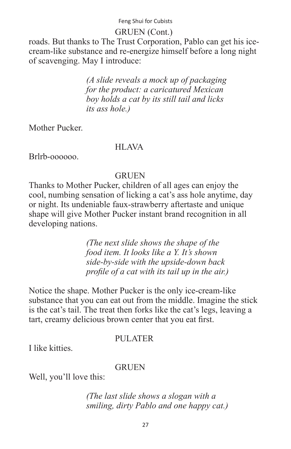## GRUEN (Cont.)

roads. But thanks to The Trust Corporation, Pablo can get his icecream-like substance and re-energize himself before a long night of scavenging. May I introduce:

> *(A slide reveals a mock up of packaging for the product: a caricatured Mexican boy holds a cat by its still tail and licks its ass hole.)*

Mother Pucker.

## HLAVA

Brlrb-oooooo.

## **GRUEN**

Thanks to Mother Pucker, children of all ages can enjoy the cool, numbing sensation of licking a cat's ass hole anytime, day or night. Its undeniable faux-strawberry aftertaste and unique shape will give Mother Pucker instant brand recognition in all developing nations.

> *(The next slide shows the shape of the food item. It looks like a Y. It's shown side-by-side with the upside-down back profile of a cat with its tail up in the air.)*

Notice the shape. Mother Pucker is the only ice-cream-like substance that you can eat out from the middle. Imagine the stick is the cat's tail. The treat then forks like the cat's legs, leaving a tart, creamy delicious brown center that you eat first.

## PULATER

I like kitties.

## **GRUEN**

Well, you'll love this:

 *(The last slide shows a slogan with a smiling, dirty Pablo and one happy cat.)*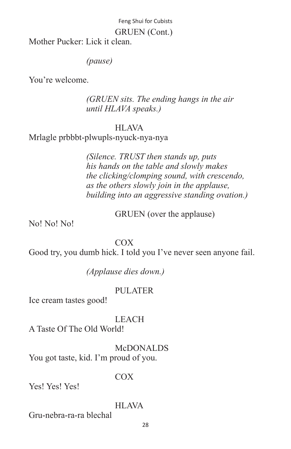#### GRUEN (Cont.)

Mother Pucker: Lick it clean.

#### *(pause)*

You're welcome.

 *(GRUEN sits. The ending hangs in the air until HLAVA speaks.)*

#### HLAVA

Mrlagle prbbbt-plwupls-nyuck-nya-nya

 *(Silence. TRUST then stands up, puts his hands on the table and slowly makes the clicking/clomping sound, with crescendo, as the others slowly join in the applause, building into an aggressive standing ovation.)*

GRUEN (over the applause)

No! No! No!

 COX Good try, you dumb hick. I told you I've never seen anyone fail.

 *(Applause dies down.)*

## PULATER

Ice cream tastes good!

LEACH

A Taste Of The Old World!

 McDONALDS You got taste, kid. I'm proud of you.

## COX

Yes! Yes! Yes!

#### HLAVA

Gru-nebra-ra-ra blechal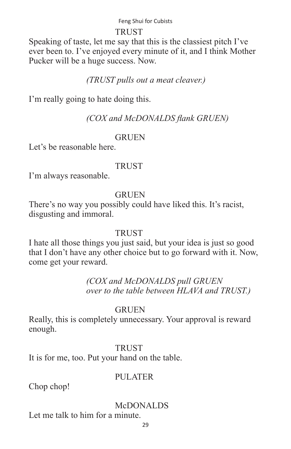#### TRUST

Speaking of taste, let me say that this is the classiest pitch I've ever been to. I've enjoyed every minute of it, and I think Mother Pucker will be a huge success. Now.

# *(TRUST pulls out a meat cleaver.)*

I'm really going to hate doing this.

# *(COX and McDONALDS flank GRUEN)*

# **GRUEN**

Let's be reasonable here.

# **TRUST**

I'm always reasonable.

# GRUEN

There's no way you possibly could have liked this. It's racist, disgusting and immoral.

## **TRUST**

I hate all those things you just said, but your idea is just so good that I don't have any other choice but to go forward with it. Now, come get your reward.

> *(COX and McDONALDS pull GRUEN over to the table between HLAVA and TRUST.)*

## **GRUEN**

Really, this is completely unnecessary. Your approval is reward enough.

## **TRUST**

It is for me, too. Put your hand on the table.

# PULATER

Chop chop!

# McDONALDS

Let me talk to him for a minute.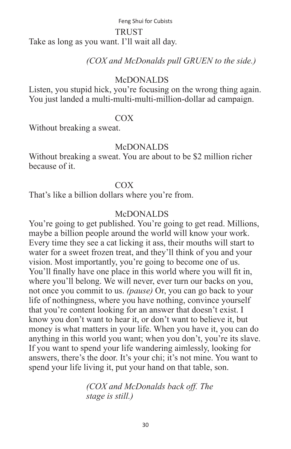#### TRUST

Take as long as you want. I'll wait all day.

 *(COX and McDonalds pull GRUEN to the side.)*

#### McDONALDS

Listen, you stupid hick, you're focusing on the wrong thing again. You just landed a multi-multi-multi-million-dollar ad campaign.

#### COX

Without breaking a sweat.

## McDONALDS

Without breaking a sweat. You are about to be \$2 million richer because of it.

## COX

That's like a billion dollars where you're from.

## McDONALDS

You're going to get published. You're going to get read. Millions, maybe a billion people around the world will know your work. Every time they see a cat licking it ass, their mouths will start to water for a sweet frozen treat, and they'll think of you and your vision. Most importantly, you're going to become one of us. You'll finally have one place in this world where you will fit in, where you'll belong. We will never, ever turn our backs on you, not once you commit to us. *(pause)* Or, you can go back to your life of nothingness, where you have nothing, convince yourself that you're content looking for an answer that doesn't exist. I know you don't want to hear it, or don't want to believe it, but money is what matters in your life. When you have it, you can do anything in this world you want; when you don't, you're its slave. If you want to spend your life wandering aimlessly, looking for answers, there's the door. It's your chi; it's not mine. You want to spend your life living it, put your hand on that table, son.

> *(COX and McDonalds back off. The stage is still.)*